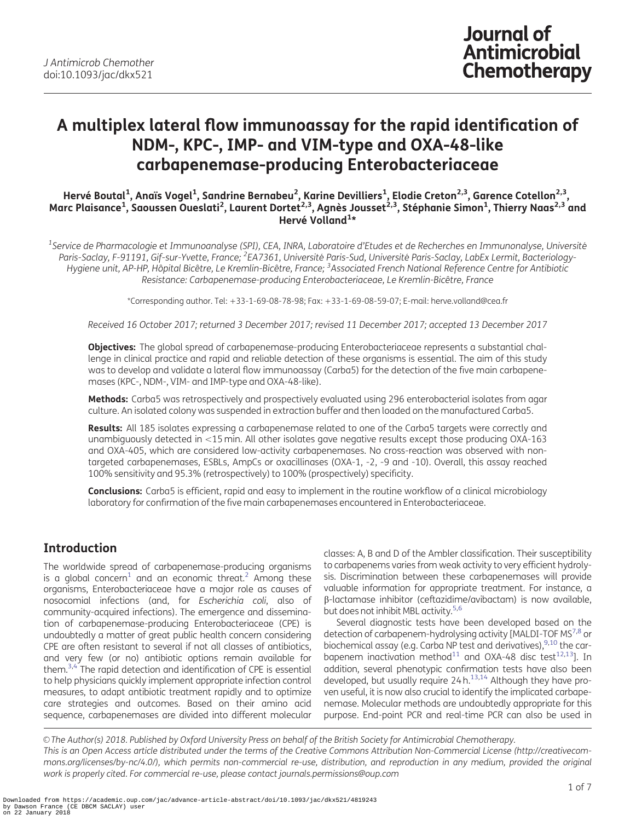# <span id="page-0-0"></span>A multiplex lateral flow immunoassay for the rapid identification of NDM-, KPC-, IMP- and VIM-type and OXA-48-like carbapenemase-producing Enterobacteriaceae

Hervé Boutal<sup>1</sup>, Anaïs Vogel<sup>1</sup>, Sandrine Bernabeu<sup>2</sup>, Karine Devilliers<sup>1</sup>, Elodie Creton<sup>2,3</sup>, Garence Cotellon<sup>2,3</sup>, Marc Plaisance<sup>1</sup>, Saoussen Oueslati<sup>2</sup>, Laurent Dortet<sup>2,3</sup>, Agnès Jousset<sup>2,3</sup>, Stéphanie Simon<sup>1</sup>, Thierry Naas<sup>2,3</sup> and Hervé Volland<sup>1\*</sup>

 $^1$ Service de Pharmacologie et Immunoanalyse (SPI), CEA, INRA, Laboratoire d'Etudes et de Recherches en Immunonalyse, Université Paris-Saclay, F-91191, Gif-sur-Yvette, France; <sup>2</sup>EA7361, Université Paris-Sud, Université Paris-Saclay, LabEx Lermit, Bacteriology-Hygiene unit, AP-HP, Hôpital Bicêtre, Le Kremlin-Bicêtre, France; <sup>3</sup>Associated French National Reference Centre for Antibiotic Resistance: Carbapenemase-producing Enterobacteriaceae, Le Kremlin-Bicêtre, France

\*Corresponding author. Tel: !33-1-69-08-78-98; Fax: !33-1-69-08-59-07; E-mail: herve.volland@cea.fr

Received 16 October 2017; returned 3 December 2017; revised 11 December 2017; accepted 13 December 2017

**Objectives:** The global spread of carbapenemase-producing Enterobacteriaceae represents a substantial challenge in clinical practice and rapid and reliable detection of these organisms is essential. The aim of this study was to develop and validate a lateral flow immunoassay (Carba5) for the detection of the five main carbapenemases (KPC-, NDM-, VIM- and IMP-type and OXA-48-like).

Methods: Carba5 was retrospectively and prospectively evaluated using 296 enterobacterial isolates from agar culture. An isolated colony was suspended in extraction buffer and then loaded on the manufactured Carba5.

Results: All 185 isolates expressing a carbapenemase related to one of the Carba5 targets were correctly and unambiguously detected in <15 min. All other isolates gave negative results except those producing OXA-163 and OXA-405, which are considered low-activity carbapenemases. No cross-reaction was observed with nontargeted carbapenemases, ESBLs, AmpCs or oxacillinases (OXA-1, -2, -9 and -10). Overall, this assay reached 100% sensitivity and 95.3% (retrospectively) to 100% (prospectively) specificity.

Conclusions: Carba5 is efficient, rapid and easy to implement in the routine workflow of a clinical microbiology laboratory for confirmation of the five main carbapenemases encountered in Enterobacteriaceae.

# Introduction

The worldwide spread of carbapenemase-producing organisms is a global concern<sup>[1](#page-5-0)</sup> and an economic threat.<sup>[2](#page-5-0)</sup> Among these organisms, Enterobacteriaceae have a major role as causes of nosocomial infections (and, for Escherichia coli, also of community-acquired infections). The emergence and dissemination of carbapenemase-producing Enterobacteriaceae (CPE) is undoubtedly a matter of great public health concern considering CPE are often resistant to several if not all classes of antibiotics, and very few (or no) antibiotic options remain available for them.<sup>3,[4](#page-5-0)</sup> The rapid detection and identification of CPE is essential to help physicians quickly implement appropriate infection control measures, to adapt antibiotic treatment rapidly and to optimize care strategies and outcomes. Based on their amino acid sequence, carbapenemases are divided into different molecular classes: A, B and D of the Ambler classification. Their susceptibility to carbapenems varies from weak activity to very efficient hydrolysis. Discrimination between these carbapenemases will provide valuable information for appropriate treatment. For instance, a b-lactamase inhibitor (ceftazidime/avibactam) is now available, but does not inhibit MBL activity.<sup>5,6</sup>

Several diagnostic tests have been developed based on the detection of carbapenem-hydrolysing activity [MALDI-TOF MS<sup>7,8</sup> or biochemical assay (e.g. Carba NP test and derivatives), $^{9,10}$  the car-bapenem inactivation method<sup>11</sup> and OXA-48 disc test<sup>[12](#page-5-0),[13](#page-5-0)</sup>]. In addition, several phenotypic confirmation tests have also been developed, but usually require  $24 h.<sup>13,14</sup>$  $24 h.<sup>13,14</sup>$  $24 h.<sup>13,14</sup>$  Although they have proven useful, it is now also crucial to identify the implicated carbapenemase. Molecular methods are undoubtedly appropriate for this purpose. End-point PCR and real-time PCR can also be used in

V<sup>C</sup> The Author(s) 2018. Published by Oxford University Press on behalf of the British Society for Antimicrobial Chemotherapy. This is an Open Access article distributed under the terms of the Creative Commons Attribution Non-Commercial License (http://creativecommons.org/licenses/by-nc/4.0/), which permits non-commercial re-use, distribution, and reproduction in any medium, provided the original work is properly cited. For commercial re-use, please contact journals.permissions@oup.com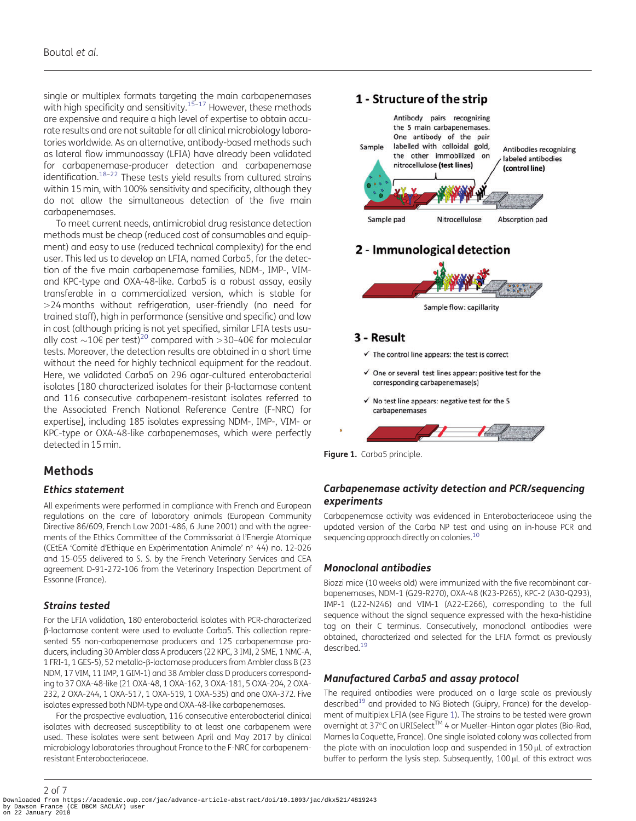<span id="page-1-0"></span>single or multiplex formats targeting the main carbapenemases with high specificity and sensitivity.<sup>15–17</sup> However, these methods are expensive and require a high level of expertise to obtain accurate results and are not suitable for all clinical microbiology laboratories worldwide. As an alternative, antibody-based methods such as lateral flow immunoassay (LFIA) have already been validated for carbapenemase-producer detection and carbapenemase identification.<sup>18-22</sup> These tests yield results from cultured strains within 15 min, with 100% sensitivity and specificity, although they do not allow the simultaneous detection of the five main carbapenemases.

To meet current needs, antimicrobial drug resistance detection methods must be cheap (reduced cost of consumables and equipment) and easy to use (reduced technical complexity) for the end user. This led us to develop an LFIA, named Carba5, for the detection of the five main carbapenemase families, NDM-, IMP-, VIMand KPC-type and OXA-48-like. Carba5 is a robust assay, easily transferable in a commercialized version, which is stable for .24 months without refrigeration, user-friendly (no need for trained staff), high in performance (sensitive and specific) and low in cost (although pricing is not yet specified, similar LFIA tests usually cost  $\sim$ 10 $\epsilon$  per test)<sup>20</sup> compared with >30-40 $\epsilon$  for molecular tests. Moreover, the detection results are obtained in a short time without the need for highly technical equipment for the readout. Here, we validated Carba5 on 296 agar-cultured enterobacterial isolates [180 characterized isolates for their  $\beta$ -lactamase content and 116 consecutive carbapenem-resistant isolates referred to the Associated French National Reference Centre (F-NRC) for expertise], including 185 isolates expressing NDM-, IMP-, VIM- or KPC-type or OXA-48-like carbapenemases, which were perfectly detected in 15 min.

### Methods

### Ethics statement

All experiments were performed in compliance with French and European regulations on the care of laboratory animals (European Community Directive 86/609, French Law 2001-486, 6 June 2001) and with the agreements of the Ethics Committee of the Commissariat à l'Energie Atomique (CEtEA 'Comité d'Ethique en Expérimentation Animale' nº 44) no. 12-026 and 15-055 delivered to S. S. by the French Veterinary Services and CEA agreement D-91-272-106 from the Veterinary Inspection Department of Essonne (France).

### Strains tested

For the LFIA validation, 180 enterobacterial isolates with PCR-characterized b-lactamase content were used to evaluate Carba5. This collection represented 55 non-carbapenemase producers and 125 carbapenemase producers, including 30 Ambler class A producers (22 KPC, 3 IMI, 2 SME, 1 NMC-A, 1 FRI-1, 1 GES-5), 52 metallo-β-lactamase producers from Ambler class B (23 NDM, 17 VIM, 11 IMP, 1 GIM-1) and 38 Ambler class D producers corresponding to 37 OXA-48-like (21 OXA-48, 1 OXA-162, 3 OXA-181, 5 OXA-204, 2 OXA-232, 2 OXA-244, 1 OXA-517, 1 OXA-519, 1 OXA-535) and one OXA-372. Five isolates expressed both NDM-type and OXA-48-like carbapenemases.

For the prospective evaluation, 116 consecutive enterobacterial clinical isolates with decreased susceptibility to at least one carbapenem were used. These isolates were sent between April and May 2017 by clinical microbiology laboratories throughout France to the F-NRC for carbapenemresistant Enterobacteriaceae.

### 1 - Structure of the strip



# 2 - Immunological detection



### 3 - Result

 $\checkmark$  The control line appears: the test is correct

- $\checkmark$  One or several test lines appear: positive test for the corresponding carbapenemase(s)
- $\checkmark$  No test line appears: negative test for the 5 carbapenemases

Figure 1. Carba5 principle.

### Carbapenemase activity detection and PCR/sequencing experiments

Carbapenemase activity was evidenced in Enterobacteriaceae using the updated version of the Carba NP test and using an in-house PCR and sequencing approach directly on colonies.<sup>10</sup>

### Monoclonal antibodies

Biozzi mice (10 weeks old) were immunized with the five recombinant carbapenemases, NDM-1 (G29-R270), OXA-48 (K23-P265), KPC-2 (A30-Q293), IMP-1 (L22-N246) and VIM-1 (A22-E266), corresponding to the full sequence without the signal sequence expressed with the hexa-histidine tag on their C terminus. Consecutively, monoclonal antibodies were obtained, characterized and selected for the LFIA format as previously described.<sup>19</sup>

### Manufactured Carba5 and assay protocol

The required antibodies were produced on a large scale as previously described<sup>19</sup> and provided to NG Biotech (Guipry, France) for the development of multiplex LFIA (see Figure 1). The strains to be tested were grown overnight at  $37^{\circ}$ C on URISelect<sup>TM</sup> 4 or Mueller-Hinton agar plates (Bio-Rad, Marnes la Coquette, France). One single isolated colony was collected from the plate with an inoculation loop and suspended in  $150 \mu L$  of extraction buffer to perform the lysis step. Subsequently, 100 µL of this extract was

2 of 7 Downloaded from https://academic.oup.com/jac/advance-article-abstract/doi/10.1093/jac/dkx521/4819243 by Dawson France (CE DBCM SACLAY) user on 22 January 2018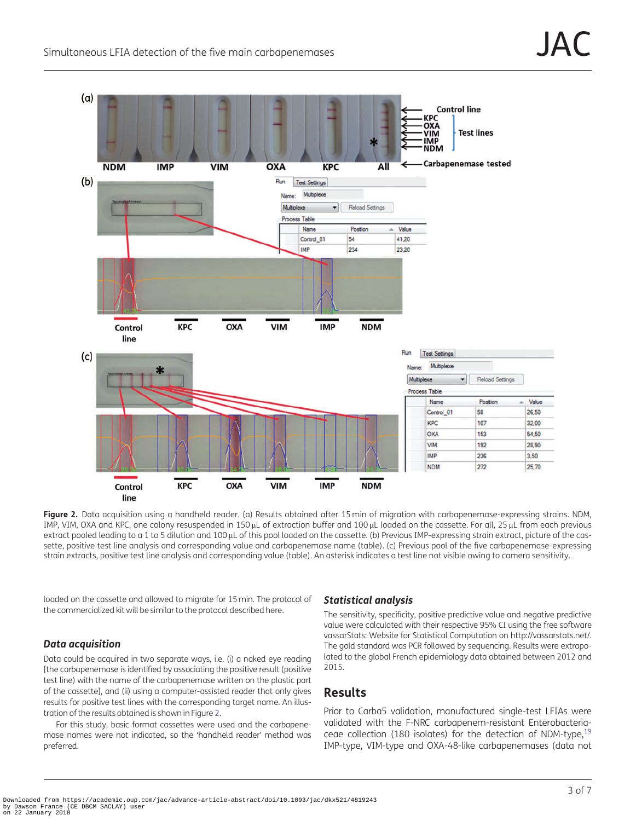

Figure 2. Data acquisition using a handheld reader. (a) Results obtained after 15 min of migration with carbapenemase-expressing strains. NDM, IMP, VIM, OXA and KPC, one colony resuspended in 150 µL of extraction buffer and 100 µL loaded on the cassette. For all, 25 µL from each previous extract pooled leading to a 1 to 5 dilution and 100 µL of this pool loaded on the cassette. (b) Previous IMP-expressing strain extract, picture of the cassette, positive test line analysis and corresponding value and carbapenemase name (table). (c) Previous pool of the five carbapenemase-expressing strain extracts, positive test line analysis and corresponding value (table). An asterisk indicates a test line not visible owing to camera sensitivity.

loaded on the cassette and allowed to migrate for 15 min. The protocol of the commercialized kit will be similar to the protocol described here.

### Data acquisition

Data could be acquired in two separate ways, i.e. (i) a naked eye reading [the carbapenemase is identified by associating the positive result (positive test line) with the name of the carbapenemase written on the plastic part of the cassette], and (ii) using a computer-assisted reader that only gives results for positive test lines with the corresponding target name. An illustration of the results obtained is shown in Figure 2.

For this study, basic format cassettes were used and the carbapenemase names were not indicated, so the 'handheld reader' method was preferred.

### Statistical analysis

The sensitivity, specificity, positive predictive value and negative predictive value were calculated with their respective 95% CI using the free software vassarStats: Website for Statistical Computation on<http://vassarstats.net/>. The gold standard was PCR followed by sequencing. Results were extrapolated to the global French epidemiology data obtained between 2012 and 2015.

# Results

Prior to Carba5 validation, manufactured single-test LFIAs were validated with the F-NRC carbapenem-resistant Enterobacteriaceae collection (180 isolates) for the detection of NDM-type,  $19$ IMP-type, VIM-type and OXA-48-like carbapenemases (data not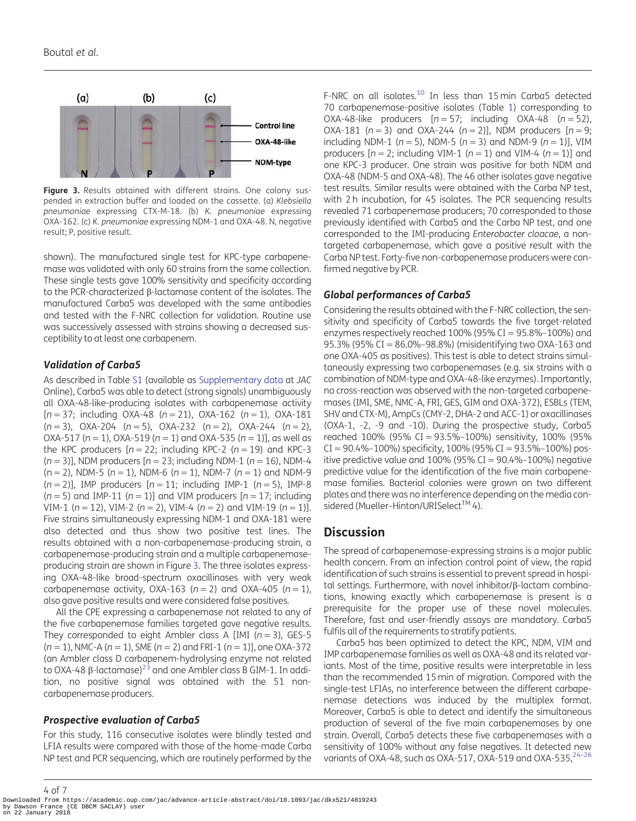<span id="page-3-0"></span>

Figure 3. Results obtained with different strains. One colony suspended in extraction buffer and loaded on the cassette. (a) Klebsiella pneumoniae expressing CTX-M-18. (b) K. pneumoniae expressing OXA-162. (c) K. pneumoniae expressing NDM-1 and OXA-48. N, negative result; P, positive result.

shown). The manufactured single test for KPC-type carbapenemase was validated with only 60 strains from the same collection. These single tests gave 100% sensitivity and specificity according to the PCR-characterized  $\beta$ -lactamase content of the isolates. The manufactured Carba5 was developed with the same antibodies and tested with the F-NRC collection for validation. Routine use was successively assessed with strains showing a decreased susceptibility to at least one carbapenem.

### Validation of Carba5

As described in Table [S1](https://academic.oup.com/jac/article-lookup/doi/10.1093/jac/dkx521#supplementary-data) (available as [Supplementary data](https://academic.oup.com/jac/article-lookup/doi/10.1093/jac/dkx521#supplementary-data) at JAC Online), Carba5 was able to detect (strong signals) unambiguously all OXA-48-like-producing isolates with carbapenemase activity  $[n = 37;$  including OXA-48 (n = 21), OXA-162 (n = 1), OXA-181  $(n = 3)$ , OXA-204  $(n = 5)$ , OXA-232  $(n = 2)$ , OXA-244  $(n = 2)$ , OXA-517 ( $n = 1$ ), OXA-519 ( $n = 1$ ) and OXA-535 ( $n = 1$ )], as well as the KPC producers  $[n = 22;$  including KPC-2 ( $n = 19$ ) and KPC-3  $(n = 3)$ ], NDM producers  $[n = 23;$  including NDM-1  $(n = 16)$ , NDM-4  $(n = 2)$ , NDM-5  $(n = 1)$ , NDM-6  $(n = 1)$ , NDM-7  $(n = 1)$  and NDM-9  $(n = 2)$ ], IMP producers  $[n = 11;$  including IMP-1  $(n = 5)$ , IMP-8 ( $n = 5$ ) and IMP-11 ( $n = 1$ )] and VIM producers [ $n = 17$ ; including VIM-1 ( $n = 12$ ), VIM-2 ( $n = 2$ ), VIM-4 ( $n = 2$ ) and VIM-19 ( $n = 1$ )]. Five strains simultaneously expressing NDM-1 and OXA-181 were also detected and thus show two positive test lines. The results obtained with a non-carbapenemase-producing strain, a carbapenemase-producing strain and a multiple carbapenemaseproducing strain are shown in Figure 3. The three isolates expressing OXA-48-like broad-spectrum oxacillinases with very weak carbapenemase activity, OXA-163 ( $n = 2$ ) and OXA-405 ( $n = 1$ ), also gave positive results and were considered false positives.

All the CPE expressing a carbapenemase not related to any of the five carbapenemase families targeted gave negative results. They corresponded to eight Ambler class A [IMI ( $n = 3$ ), GES-5  $(n = 1)$ , NMC-A  $(n = 1)$ , SME  $(n = 2)$  and FRI-1  $(n = 1)$ ], one OXA-372 (an Ambler class D carbapenem-hydrolysing enzyme not related to OXA-48  $\beta$ -lactamase)<sup>23</sup> and one Ambler class B GIM-1. In addition, no positive signal was obtained with the 51 noncarbapenemase producers.

### Prospective evaluation of Carba5

For this study, 116 consecutive isolates were blindly tested and LFIA results were compared with those of the home-made Carba NP test and PCR sequencing, which are routinely performed by the

F-NRC on all isolates.<sup>10</sup> In less than 15 min Carba5 detected 70 carbapenemase-positive isolates (Table [1](#page-4-0)) corresponding to OXA-48-like producers  $[n = 57;$  including OXA-48  $(n = 52)$ , OXA-181 ( $n = 3$ ) and OXA-244 ( $n = 2$ )], NDM producers [ $n = 9$ ; including NDM-1 ( $n = 5$ ), NDM-5 ( $n = 3$ ) and NDM-9 ( $n = 1$ )], VIM producers  $[n = 2;$  including VIM-1  $(n = 1)$  and VIM-4  $(n = 1)$ ] and one KPC-3 producer. One strain was positive for both NDM and OXA-48 (NDM-5 and OXA-48). The 46 other isolates gave negative test results. Similar results were obtained with the Carba NP test, with 2 h incubation, for 45 isolates. The PCR sequencing results revealed 71 carbapenemase producers; 70 corresponded to those previously identified with Carba5 and the Carba NP test, and one corresponded to the IMI-producing Enterobacter cloacae, a nontargeted carbapenemase, which gave a positive result with the Carba NP test. Forty-five non-carbapenemase producers were confirmed negative by PCR.

## Global performances of Carba5

Considering the results obtained with the F-NRC collection, the sensitivity and specificity of Carba5 towards the five target-related enzymes respectively reached  $100\%$  (95% CI = 95.8%–100%) and 95.3% (95% CI =  $86.0\%$ -98.8%) (misidentifying two OXA-163 and one OXA-405 as positives). This test is able to detect strains simultaneously expressing two carbapenemases (e.g. six strains with a combination of NDM-type and OXA-48-like enzymes). Importantly, no cross-reaction was observed with the non-targeted carbapenemases (IMI, SME, NMC-A, FRI, GES, GIM and OXA-372), ESBLs (TEM, SHV and CTX-M), AmpCs (CMY-2, DHA-2 and ACC-1) or oxacillinases (OXA-1, -2, -9 and -10). During the prospective study, Carba5 reached  $100\%$  (95% CI = 93.5%-100%) sensitivity, 100% (95%  $CI = 90.4\% - 100\%$ ) specificity, 100% (95% CI = 93.5%–100%) positive predictive value and  $100\%$  (95% CI = 90.4%–100%) negative predictive value for the identification of the five main carbapenemase families. Bacterial colonies were grown on two different plates and there was no interference depending on the media considered (Mueller-Hinton/URISelect™ 4).

### **Discussion**

The spread of carbapenemase-expressing strains is a major public health concern. From an infection control point of view, the rapid identification of such strains is essential to prevent spread in hospital settings. Furthermore, with novel inhibitor/β-lactam combinations, knowing exactly which carbapenemase is present is a prerequisite for the proper use of these novel molecules. Therefore, fast and user-friendly assays are mandatory. Carba5 fulfils all of the requirements to stratify patients.

Carba5 has been optimized to detect the KPC, NDM, VIM and IMP carbapenemase families as well as OXA-48 and its related variants. Most of the time, positive results were interpretable in less than the recommended 15 min of migration. Compared with the single-test LFIAs, no interference between the different carbapenemase detections was induced by the multiplex format. Moreover, Carba5 is able to detect and identify the simultaneous production of several of the five main carbapenemases by one strain. Overall, Carba5 detects these five carbapenemases with a sensitivity of 100% without any false negatives. It detected new variants of OXA-48, such as OXA-517, OXA-519 and OXA-535,  $24-26$ 

4 of 7 Downloaded from https://academic.oup.com/jac/advance-article-abstract/doi/10.1093/jac/dkx521/4819243 by Dawson France (CE DBCM SACLAY) user on 22 January 2018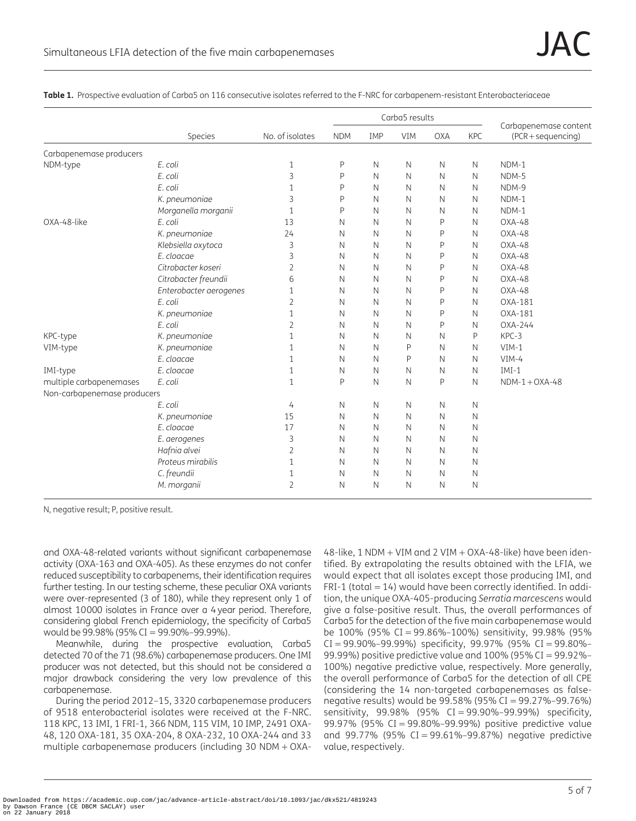|                             |                        | No. of isolates | Carba5 results |              |              |              |              |                                             |
|-----------------------------|------------------------|-----------------|----------------|--------------|--------------|--------------|--------------|---------------------------------------------|
|                             | Species                |                 | <b>NDM</b>     | IMP          | <b>VIM</b>   | <b>OXA</b>   | <b>KPC</b>   | Carbapenemase content<br>(PCR + sequencing) |
| Carbapenemase producers     |                        |                 |                |              |              |              |              |                                             |
| NDM-type                    | E. coli                | 1               | P              | N            | $\mathsf{N}$ | $\mathbb N$  | $\mathsf{N}$ | NDM-1                                       |
|                             | E. coli                | 3               | P              | N            | $\mathsf{N}$ | N            | $\mathsf{N}$ | NDM-5                                       |
|                             | E. coli                | 1               | $\mathsf{P}$   | N            | N            | N            | N            | NDM-9                                       |
|                             | K. pneumoniae          | 3               | P              | N            | $\mathsf{N}$ | N            | N            | NDM-1                                       |
|                             | Morganella morganii    | $\mathbf{1}$    | P              | $\mathsf{N}$ | $\mathsf{N}$ | N            | $\mathsf{N}$ | $NDM-1$                                     |
| OXA-48-like                 | E. coli                | 13              | N              | $\mathsf{N}$ | $\mathbb N$  | P            | N            | $OXA-48$                                    |
|                             | K. pneumoniae          | 24              | N              | N            | $\mathsf{N}$ | P            | N            | $OXA-48$                                    |
|                             | Klebsiella oxytoca     | 3               | N              | N            | $\mathsf{N}$ | Ρ            | N            | OXA-48                                      |
|                             | E. cloacae             | 3               | N              | N            | $\mathsf{N}$ | Ρ            | N            | $OXA-48$                                    |
|                             | Citrobacter koseri     | 2               | N              | N            | N            | Ρ            | $\mathsf{N}$ | OXA-48                                      |
|                             | Citrobacter freundii   | 6               | N              | $\mathsf{N}$ | $\mathsf{N}$ | P            | $\mathsf{N}$ | $OXA-48$                                    |
|                             | Enterobacter aerogenes | 1               | Ν              | N            | $\mathsf{N}$ | P            | N            | $OXA-48$                                    |
|                             | E. coli                | $\overline{2}$  | N              | N            | N            | Ρ            | N            | OXA-181                                     |
|                             | K. pneumoniae          | $\mathbf{1}$    | N              | $\mathsf{N}$ | $\mathsf{N}$ | P            | N            | OXA-181                                     |
|                             | E. coli                | 2               | N              | N            | N            | P            | N            | $OXA-244$                                   |
| KPC-type                    | K. pneumoniae          | $\mathbf{1}$    | Ν              | N            | N            | $\mathsf{N}$ | P            | KPC-3                                       |
| VIM-type                    | K. pneumoniae          | 1               | N              | N            | P            | $\mathsf{N}$ | N            | $VIM-1$                                     |
|                             | E. cloacae             | 1               | N              | N            | P            | $\mathbb N$  | N            | $VIM-4$                                     |
| IMI-type                    | E. cloacae             | 1               | N              | $\mathsf{N}$ | $\mathsf{N}$ | $\mathsf{N}$ | $\mathsf{N}$ | $IMI-1$                                     |
| multiple carbapenemases     | E. coli                | 1               | $\mathsf{P}$   | $\mathsf{N}$ | N            | P            | $\mathsf{N}$ | $NDM-1+OXA-48$                              |
| Non-carbapenemase producers |                        |                 |                |              |              |              |              |                                             |
|                             | E. coli                | 4               | Ν              | N            | $\mathsf{N}$ | $\mathsf{N}$ | $\mathsf{N}$ |                                             |
|                             | K. pneumoniae          | 15              | N              | $\mathsf{N}$ | $\mathsf{N}$ | $\mathsf{N}$ | $\mathsf{N}$ |                                             |
|                             | E. cloacae             | 17              | Ν              | N            | N            | N            | $\mathsf{N}$ |                                             |
|                             | E. aerogenes           | 3               | Ν              | $\mathsf{N}$ | $\mathsf{N}$ | N            | N            |                                             |
|                             | Hafnia alvei           | 2               | N              | N            | N            | N            | N            |                                             |
|                             | Proteus mirabilis      | 1               | N              | N            | $\mathsf{N}$ | N            | N            |                                             |
|                             | C. freundii            | 1               | N              | N            | N            | N            | N            |                                             |
|                             | M. morganii            | $\overline{2}$  | N              | N            | $\mathsf{N}$ | $\mathsf{N}$ | $\mathsf{N}$ |                                             |

<span id="page-4-0"></span>Table 1. Prospective evaluation of Carba5 on 116 consecutive isolates referred to the F-NRC for carbapenem-resistant Enterobacteriaceae

N, negative result; P, positive result.

and OXA-48-related variants without significant carbapenemase activity (OXA-163 and OXA-405). As these enzymes do not confer reduced susceptibility to carbapenems, their identification requires further testing. In our testing scheme, these peculiar OXA variants were over-represented (3 of 180), while they represent only 1 of almost 10000 isolates in France over a 4 year period. Therefore, considering global French epidemiology, the specificity of Carba5 would be 99.98% (95% CI = 99.90%–99.99%).

Meanwhile, during the prospective evaluation, Carba5 detected 70 of the 71 (98.6%) carbapenemase producers. One IMI producer was not detected, but this should not be considered a major drawback considering the very low prevalence of this carbapenemase.

During the period 2012–15, 3320 carbapenemase producers of 9518 enterobacterial isolates were received at the F-NRC. 118 KPC, 13 IMI, 1 FRI-1, 366 NDM, 115 VIM, 10 IMP, 2491 OXA-48, 120 OXA-181, 35 OXA-204, 8 OXA-232, 10 OXA-244 and 33 multiple carbapenemase producers (including 30 NDM  $+$  OXA-

 $48$ -like, 1 NDM  $+$  VIM and 2 VIM  $+$  OXA-48-like) have been identified. By extrapolating the results obtained with the LFIA, we would expect that all isolates except those producing IMI, and FRI-1 (total  $= 14$ ) would have been correctly identified. In addition, the unique OXA-405-producing Serratia marcescens would give a false-positive result. Thus, the overall performances of Carba5 for the detection of the five main carbapenemase would be  $100\%$  (95% CI = 99.86%–100%) sensitivity, 99.98% (95%  $CI = 99.90\% - 99.99\%$ ) specificity, 99.97% (95%  $CI = 99.80\% -$ 99.99%) positive predictive value and 100% (95% CI = 99.92%– 100%) negative predictive value, respectively. More generally, the overall performance of Carba5 for the detection of all CPE (considering the 14 non-targeted carbapenemases as falsenegative results) would be  $99.58\%$  (95% CI =  $99.27\%$ -99.76%) sensitivity, 99.98% (95% CI = 99.90%-99.99%) specificity, 99.97% (95% CI = 99.80%–99.99%) positive predictive value and  $99.77\%$  (95% CI = 99.61%-99.87%) negative predictive value, respectively.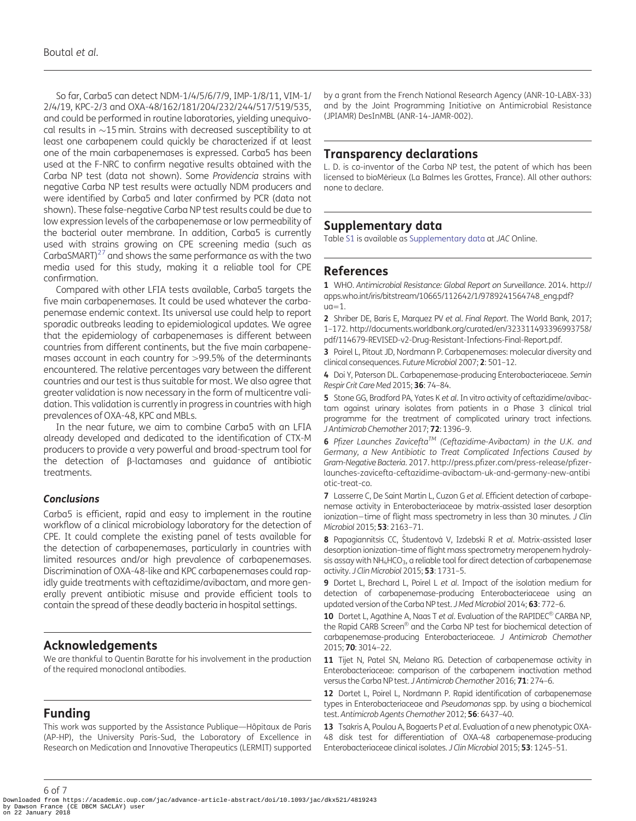<span id="page-5-0"></span>So far, Carba5 can detect NDM-1/4/5/6/7/9, IMP-1/8/11, VIM-1/ 2/4/19, KPC-2/3 and OXA-48/162/181/204/232/244/517/519/535, and could be performed in routine laboratories, yielding unequivocal results in  ${\sim}15$  min. Strains with decreased susceptibility to at least one carbapenem could quickly be characterized if at least one of the main carbapenemases is expressed. Carba5 has been used at the F-NRC to confirm negative results obtained with the Carba NP test (data not shown). Some Providencia strains with negative Carba NP test results were actually NDM producers and were identified by Carba5 and later confirmed by PCR (data not shown). These false-negative Carba NP test results could be due to low expression levels of the carbapenemase or low permeability of the bacterial outer membrane. In addition, Carba5 is currently used with strains growing on CPE screening media (such as CarbaSMART) $^{27}$  and shows the same performance as with the two media used for this study, making it a reliable tool for CPE confirmation.

Compared with other LFIA tests available, Carba5 targets the five main carbapenemases. It could be used whatever the carbapenemase endemic context. Its universal use could help to report sporadic outbreaks leading to epidemiological updates. We agree that the epidemiology of carbapenemases is different between countries from different continents, but the five main carbapenemases account in each country for >99.5% of the determinants encountered. The relative percentages vary between the different countries and our test is thus suitable for most. We also agree that greater validation is now necessary in the form of multicentre validation. This validation is currently in progress in countries with high prevalences of OXA-48, KPC and MBLs.

In the near future, we aim to combine Carba5 with an LFIA already developed and dedicated to the identification of CTX-M producers to provide a very powerful and broad-spectrum tool for the detection of b-lactamases and guidance of antibiotic treatments.

### Conclusions

Carba5 is efficient, rapid and easy to implement in the routine workflow of a clinical microbiology laboratory for the detection of CPE. It could complete the existing panel of tests available for the detection of carbapenemases, particularly in countries with limited resources and/or high prevalence of carbapenemases. Discrimination of OXA-48-like and KPC carbapenemases could rapidly guide treatments with ceftazidime/avibactam, and more generally prevent antibiotic misuse and provide efficient tools to contain the spread of these deadly bacteria in hospital settings.

### Acknowledgements

We are thankful to Quentin Baratte for his involvement in the production of the required monoclonal antibodies.

# Funding

This work was supported by the Assistance Publique—Hôpitaux de Paris (AP-HP), the University Paris-Sud, the Laboratory of Excellence in Research on Medication and Innovative Therapeutics (LERMIT) supported by a grant from the French National Research Agency (ANR-10-LABX-33) and by the Joint Programming Initiative on Antimicrobial Resistance (JPIAMR) DesInMBL (ANR-14-JAMR-002).

### Transparency declarations

L. D. is co-inventor of the Carba NP test, the patent of which has been licensed to bioMérieux (La Balmes les Grottes, France). All other authors: none to declare.

## Supplementary data

Table [S1](https://academic.oup.com/jac/article-lookup/doi/10.1093/jac/dkx521#supplementary-data) is available as [Supplementary data](https://academic.oup.com/jac/article-lookup/doi/10.1093/jac/dkx521#supplementary-data) at JAC Online.

### References

[1](#page-0-0) WHO. Antimicrobial Resistance: Global Report on Surveillance. 2014. [http://](http://apps.who.int/iris/bitstream/10665/112642/1/9789241564748_eng.pdf? ua=1) [apps.who.int/iris/bitstream/10665/112642/1/9789241564748\\_eng.pdf?](http://apps.who.int/iris/bitstream/10665/112642/1/9789241564748_eng.pdf? ua=1)  $uq=1.$  $uq=1.$  $uq=1.$ 

[2](#page-0-0) Shriber DE, Baris E, Marquez PV et al. Final Report. The World Bank, 2017; 1–172. [http://documents.worldbank.org/curated/en/323311493396993758/](http://documents.worldbank.org/curated/en/323311493396993758/pdf/114679-REVISED-v2-Drug-Resistant-Infections-Final-Report.pdf) [pdf/114679-REVISED-v2-Drug-Resistant-Infections-Final-Report.pdf.](http://documents.worldbank.org/curated/en/323311493396993758/pdf/114679-REVISED-v2-Drug-Resistant-Infections-Final-Report.pdf)

[3](#page-0-0) Poirel L, Pitout JD, Nordmann P. Carbapenemases: molecular diversity and clinical consequences. Future Microbiol 2007; 2: 501–12.

[4](#page-0-0) Doi Y, Paterson DL. Carbapenemase-producing Enterobacteriaceae. Semin Respir Crit Care Med 2015; 36: 74–84.

[5](#page-0-0) Stone GG, Bradford PA, Yates K et al. In vitro activity of ceftazidime/avibactam against urinary isolates from patients in a Phase 3 clinical trial programme for the treatment of complicated urinary tract infections. J Antimicrob Chemother 2017; 72: 1396-9.

[6](#page-0-0) Pfizer Launches Zavicefta<sup>TM</sup> (Ceftazidime-Avibactam) in the U.K. and Germany, a New Antibiotic to Treat Complicated Infections Caused by Gram-Negative Bacteria. 2017. [http://press.pfizer.com/press-release/pfizer](http://http://press.pfizer.com/press-release/pfizer-launches-zavicefta-ceftazidime-avibactam-uk-and-germany-new-antibiotic-treat-co)[launches-zavicefta-ceftazidime-avibactam-uk-and-germany-new-antibi](http://http://press.pfizer.com/press-release/pfizer-launches-zavicefta-ceftazidime-avibactam-uk-and-germany-new-antibiotic-treat-co) [otic-treat-co.](http://http://press.pfizer.com/press-release/pfizer-launches-zavicefta-ceftazidime-avibactam-uk-and-germany-new-antibiotic-treat-co)

[7](#page-0-0) Lasserre C, De Saint Martin L, Cuzon G et al. Efficient detection of carbapenemase activity in Enterobacteriaceae by matrix-assisted laser desorption ionization-time of flight mass spectrometry in less than 30 minutes. J Clin Microbiol 2015; 53: 2163–71.

[8](#page-0-0) Papagiannitsis CC, Študentová V, Izdebski R et al. Matrix-assisted laser desorption ionization–time of flight mass spectrometry meropenem hydrolysis assay with  $NH_4HCO_3$ , a reliable tool for direct detection of carbapenemase activity. J Clin Microbiol 2015; 53: 1731-5.

[9](#page-0-0) Dortet L, Brechard L, Poirel L et al. Impact of the isolation medium for detection of carbapenemase-producing Enterobacteriaceae using an updated version of the Carba NP test. J Med Microbiol 2014; 63: 772-6.

[10](#page-0-0) Dortet L, Agathine A, Naas T et al. Evaluation of the RAPIDEC<sup>®</sup> CARBA NP, the Rapid CARB Screen® and the Carba NP test for biochemical detection of carbapenemase-producing Enterobacteriaceae. J Antimicrob Chemother 2015; 70: 3014–22.

[11](#page-0-0) Tijet N, Patel SN, Melano RG. Detection of carbapenemase activity in Enterobacteriaceae: comparison of the carbapenem inactivation method versus the Carba NP test. J Antimicrob Chemother 2016; 71: 274–6.

[12](#page-0-0) Dortet L, Poirel L, Nordmann P. Rapid identification of carbapenemase types in Enterobacteriaceae and Pseudomonas spp. by using a biochemical test. Antimicrob Agents Chemother 2012; 56: 6437–40.

[13](#page-0-0) Tsakris A, Poulou A, Bogaerts P et al. Evaluation of a new phenotypic OXA-48 disk test for differentiation of OXA-48 carbapenemase-producing Enterobacteriaceae clinical isolates. J Clin Microbiol 2015; 53: 1245–51.